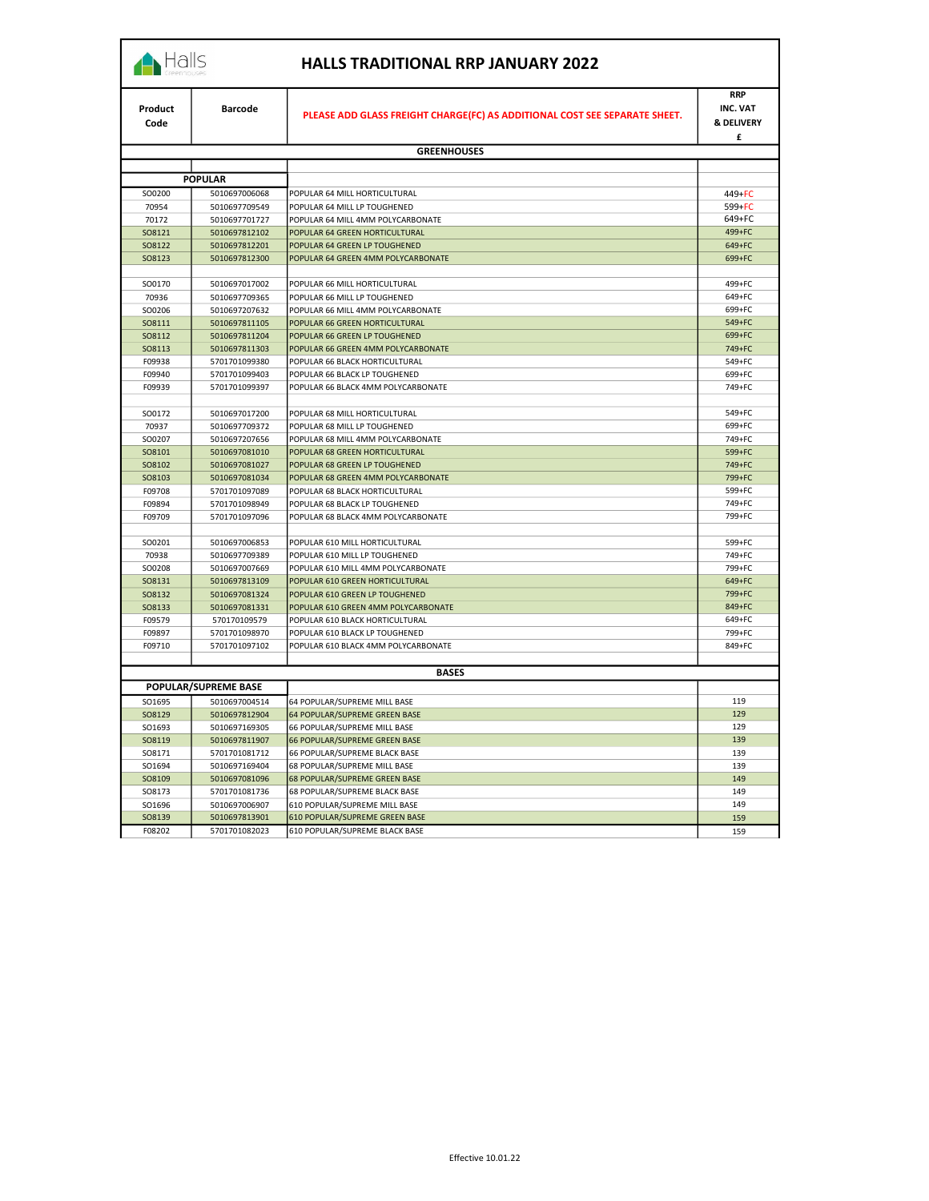## Halls

|  |  |  |  | HALLS TRADITIONAL RRP JANUARY 2022 |
|--|--|--|--|------------------------------------|
|--|--|--|--|------------------------------------|

| <b>RRP</b><br>INC. VAT<br>Product<br><b>Barcode</b><br>PLEASE ADD GLASS FREIGHT CHARGE(FC) AS ADDITIONAL COST SEE SEPARATE SHEET.<br>& DELIVERY<br>Code<br>£<br><b>GREENHOUSES</b><br><b>POPULAR</b><br>SO0200<br>5010697006068<br>POPULAR 64 MILL HORTICULTURAL<br>449+FC<br>70954<br>POPULAR 64 MILL LP TOUGHENED<br>5010697709549<br>599+FC<br>649+FC<br>70172<br>POPULAR 64 MILL 4MM POLYCARBONATE<br>5010697701727<br>499+FC<br>SO8121<br>5010697812102<br>POPULAR 64 GREEN HORTICULTURAL<br>649+FC<br>SO8122<br>POPULAR 64 GREEN LP TOUGHENED<br>5010697812201<br>699+FC<br>POPULAR 64 GREEN 4MM POLYCARBONATE<br>SO8123<br>5010697812300<br>SO0170<br>5010697017002<br>POPULAR 66 MILL HORTICULTURAL<br>499+FC<br>649+FC<br>70936<br>5010697709365<br>POPULAR 66 MILL LP TOUGHENED<br>699+FC<br>SO0206<br>5010697207632<br>POPULAR 66 MILL 4MM POLYCARBONATE<br>SO8111<br>POPULAR 66 GREEN HORTICULTURAL<br>549+FC<br>5010697811105<br>SO8112<br>5010697811204<br>POPULAR 66 GREEN LP TOUGHENED<br>699+FC<br>SO8113<br>POPULAR 66 GREEN 4MM POLYCARBONATE<br>749+FC<br>5010697811303<br>549+FC<br>F09938<br>POPULAR 66 BLACK HORTICULTURAL<br>5701701099380<br>F09940<br>699+FC<br>5701701099403<br>POPULAR 66 BLACK LP TOUGHENED<br>749+FC<br>F09939<br>5701701099397<br>POPULAR 66 BLACK 4MM POLYCARBONATE<br>SO0172<br>POPULAR 68 MILL HORTICULTURAL<br>549+FC<br>5010697017200<br>70937<br>699+FC<br>5010697709372<br>POPULAR 68 MILL LP TOUGHENED<br>749+FC<br>SO0207<br>5010697207656<br>POPULAR 68 MILL 4MM POLYCARBONATE<br>599+FC<br>SO8101<br>5010697081010<br>POPULAR 68 GREEN HORTICULTURAL<br>SO8102<br>5010697081027<br>POPULAR 68 GREEN LP TOUGHENED<br>749+FC<br>799+FC<br>SO8103<br>5010697081034<br>POPULAR 68 GREEN 4MM POLYCARBONATE<br>599+FC<br>F09708<br>5701701097089<br>POPULAR 68 BLACK HORTICULTURAL<br>749+FC<br>F09894<br>5701701098949<br>POPULAR 68 BLACK LP TOUGHENED<br>F09709<br>POPULAR 68 BLACK 4MM POLYCARBONATE<br>799+FC<br>5701701097096<br>599+FC<br>SO0201<br>5010697006853<br>POPULAR 610 MILL HORTICULTURAL<br>70938<br>POPULAR 610 MILL LP TOUGHENED<br>749+FC<br>5010697709389<br>799+FC<br>SO0208<br>5010697007669<br>POPULAR 610 MILL 4MM POLYCARBONATE<br>649+FC<br>SO8131<br>5010697813109<br>POPULAR 610 GREEN HORTICULTURAL<br>799+FC<br>SO8132<br>5010697081324<br>POPULAR 610 GREEN LP TOUGHENED<br>SO8133<br>5010697081331<br>POPULAR 610 GREEN 4MM POLYCARBONATE<br>849+FC<br>F09579<br>649+FC<br>570170109579<br>POPULAR 610 BLACK HORTICULTURAL<br>799+FC<br>F09897<br>5701701098970<br>POPULAR 610 BLACK LP TOUGHENED<br>849+FC<br>F09710<br>5701701097102<br>POPULAR 610 BLACK 4MM POLYCARBONATE<br><b>BASES</b><br>POPULAR/SUPREME BASE<br>SO1695<br>5010697004514<br>64 POPULAR/SUPREME MILL BASE<br>119<br>129<br>SO8129<br>5010697812904<br>64 POPULAR/SUPREME GREEN BASE<br>SO1693<br>5010697169305<br>66 POPULAR/SUPREME MILL BASE<br>129<br>SO8119<br>5010697811907<br>66 POPULAR/SUPREME GREEN BASE<br>139<br>139<br>SO8171<br>5701701081712<br>66 POPULAR/SUPREME BLACK BASE<br>139<br>SO1694<br>5010697169404<br>68 POPULAR/SUPREME MILL BASE<br>SO8109<br>5010697081096<br>68 POPULAR/SUPREME GREEN BASE<br>149<br>149<br>SO8173<br>5701701081736<br>68 POPULAR/SUPREME BLACK BASE<br>149<br>SO1696<br>5010697006907<br>610 POPULAR/SUPREME MILL BASE<br>SO8139<br>610 POPULAR/SUPREME GREEN BASE<br>5010697813901<br>159 |        |               |                                |     |  |
|---------------------------------------------------------------------------------------------------------------------------------------------------------------------------------------------------------------------------------------------------------------------------------------------------------------------------------------------------------------------------------------------------------------------------------------------------------------------------------------------------------------------------------------------------------------------------------------------------------------------------------------------------------------------------------------------------------------------------------------------------------------------------------------------------------------------------------------------------------------------------------------------------------------------------------------------------------------------------------------------------------------------------------------------------------------------------------------------------------------------------------------------------------------------------------------------------------------------------------------------------------------------------------------------------------------------------------------------------------------------------------------------------------------------------------------------------------------------------------------------------------------------------------------------------------------------------------------------------------------------------------------------------------------------------------------------------------------------------------------------------------------------------------------------------------------------------------------------------------------------------------------------------------------------------------------------------------------------------------------------------------------------------------------------------------------------------------------------------------------------------------------------------------------------------------------------------------------------------------------------------------------------------------------------------------------------------------------------------------------------------------------------------------------------------------------------------------------------------------------------------------------------------------------------------------------------------------------------------------------------------------------------------------------------------------------------------------------------------------------------------------------------------------------------------------------------------------------------------------------------------------------------------------------------------------------------------------------------------------------------------------------------------------------------------------------------------------------------------------------------------------------------------------------------------------------------------------------------------------------------------------------------------------------------------------------------------------------------------------------------------------------------------------|--------|---------------|--------------------------------|-----|--|
|                                                                                                                                                                                                                                                                                                                                                                                                                                                                                                                                                                                                                                                                                                                                                                                                                                                                                                                                                                                                                                                                                                                                                                                                                                                                                                                                                                                                                                                                                                                                                                                                                                                                                                                                                                                                                                                                                                                                                                                                                                                                                                                                                                                                                                                                                                                                                                                                                                                                                                                                                                                                                                                                                                                                                                                                                                                                                                                                                                                                                                                                                                                                                                                                                                                                                                                                                                                                         |        |               |                                |     |  |
|                                                                                                                                                                                                                                                                                                                                                                                                                                                                                                                                                                                                                                                                                                                                                                                                                                                                                                                                                                                                                                                                                                                                                                                                                                                                                                                                                                                                                                                                                                                                                                                                                                                                                                                                                                                                                                                                                                                                                                                                                                                                                                                                                                                                                                                                                                                                                                                                                                                                                                                                                                                                                                                                                                                                                                                                                                                                                                                                                                                                                                                                                                                                                                                                                                                                                                                                                                                                         |        |               |                                |     |  |
|                                                                                                                                                                                                                                                                                                                                                                                                                                                                                                                                                                                                                                                                                                                                                                                                                                                                                                                                                                                                                                                                                                                                                                                                                                                                                                                                                                                                                                                                                                                                                                                                                                                                                                                                                                                                                                                                                                                                                                                                                                                                                                                                                                                                                                                                                                                                                                                                                                                                                                                                                                                                                                                                                                                                                                                                                                                                                                                                                                                                                                                                                                                                                                                                                                                                                                                                                                                                         |        |               |                                |     |  |
|                                                                                                                                                                                                                                                                                                                                                                                                                                                                                                                                                                                                                                                                                                                                                                                                                                                                                                                                                                                                                                                                                                                                                                                                                                                                                                                                                                                                                                                                                                                                                                                                                                                                                                                                                                                                                                                                                                                                                                                                                                                                                                                                                                                                                                                                                                                                                                                                                                                                                                                                                                                                                                                                                                                                                                                                                                                                                                                                                                                                                                                                                                                                                                                                                                                                                                                                                                                                         |        |               |                                |     |  |
|                                                                                                                                                                                                                                                                                                                                                                                                                                                                                                                                                                                                                                                                                                                                                                                                                                                                                                                                                                                                                                                                                                                                                                                                                                                                                                                                                                                                                                                                                                                                                                                                                                                                                                                                                                                                                                                                                                                                                                                                                                                                                                                                                                                                                                                                                                                                                                                                                                                                                                                                                                                                                                                                                                                                                                                                                                                                                                                                                                                                                                                                                                                                                                                                                                                                                                                                                                                                         |        |               |                                |     |  |
|                                                                                                                                                                                                                                                                                                                                                                                                                                                                                                                                                                                                                                                                                                                                                                                                                                                                                                                                                                                                                                                                                                                                                                                                                                                                                                                                                                                                                                                                                                                                                                                                                                                                                                                                                                                                                                                                                                                                                                                                                                                                                                                                                                                                                                                                                                                                                                                                                                                                                                                                                                                                                                                                                                                                                                                                                                                                                                                                                                                                                                                                                                                                                                                                                                                                                                                                                                                                         |        |               |                                |     |  |
|                                                                                                                                                                                                                                                                                                                                                                                                                                                                                                                                                                                                                                                                                                                                                                                                                                                                                                                                                                                                                                                                                                                                                                                                                                                                                                                                                                                                                                                                                                                                                                                                                                                                                                                                                                                                                                                                                                                                                                                                                                                                                                                                                                                                                                                                                                                                                                                                                                                                                                                                                                                                                                                                                                                                                                                                                                                                                                                                                                                                                                                                                                                                                                                                                                                                                                                                                                                                         |        |               |                                |     |  |
|                                                                                                                                                                                                                                                                                                                                                                                                                                                                                                                                                                                                                                                                                                                                                                                                                                                                                                                                                                                                                                                                                                                                                                                                                                                                                                                                                                                                                                                                                                                                                                                                                                                                                                                                                                                                                                                                                                                                                                                                                                                                                                                                                                                                                                                                                                                                                                                                                                                                                                                                                                                                                                                                                                                                                                                                                                                                                                                                                                                                                                                                                                                                                                                                                                                                                                                                                                                                         |        |               |                                |     |  |
|                                                                                                                                                                                                                                                                                                                                                                                                                                                                                                                                                                                                                                                                                                                                                                                                                                                                                                                                                                                                                                                                                                                                                                                                                                                                                                                                                                                                                                                                                                                                                                                                                                                                                                                                                                                                                                                                                                                                                                                                                                                                                                                                                                                                                                                                                                                                                                                                                                                                                                                                                                                                                                                                                                                                                                                                                                                                                                                                                                                                                                                                                                                                                                                                                                                                                                                                                                                                         |        |               |                                |     |  |
|                                                                                                                                                                                                                                                                                                                                                                                                                                                                                                                                                                                                                                                                                                                                                                                                                                                                                                                                                                                                                                                                                                                                                                                                                                                                                                                                                                                                                                                                                                                                                                                                                                                                                                                                                                                                                                                                                                                                                                                                                                                                                                                                                                                                                                                                                                                                                                                                                                                                                                                                                                                                                                                                                                                                                                                                                                                                                                                                                                                                                                                                                                                                                                                                                                                                                                                                                                                                         |        |               |                                |     |  |
|                                                                                                                                                                                                                                                                                                                                                                                                                                                                                                                                                                                                                                                                                                                                                                                                                                                                                                                                                                                                                                                                                                                                                                                                                                                                                                                                                                                                                                                                                                                                                                                                                                                                                                                                                                                                                                                                                                                                                                                                                                                                                                                                                                                                                                                                                                                                                                                                                                                                                                                                                                                                                                                                                                                                                                                                                                                                                                                                                                                                                                                                                                                                                                                                                                                                                                                                                                                                         |        |               |                                |     |  |
|                                                                                                                                                                                                                                                                                                                                                                                                                                                                                                                                                                                                                                                                                                                                                                                                                                                                                                                                                                                                                                                                                                                                                                                                                                                                                                                                                                                                                                                                                                                                                                                                                                                                                                                                                                                                                                                                                                                                                                                                                                                                                                                                                                                                                                                                                                                                                                                                                                                                                                                                                                                                                                                                                                                                                                                                                                                                                                                                                                                                                                                                                                                                                                                                                                                                                                                                                                                                         |        |               |                                |     |  |
|                                                                                                                                                                                                                                                                                                                                                                                                                                                                                                                                                                                                                                                                                                                                                                                                                                                                                                                                                                                                                                                                                                                                                                                                                                                                                                                                                                                                                                                                                                                                                                                                                                                                                                                                                                                                                                                                                                                                                                                                                                                                                                                                                                                                                                                                                                                                                                                                                                                                                                                                                                                                                                                                                                                                                                                                                                                                                                                                                                                                                                                                                                                                                                                                                                                                                                                                                                                                         |        |               |                                |     |  |
|                                                                                                                                                                                                                                                                                                                                                                                                                                                                                                                                                                                                                                                                                                                                                                                                                                                                                                                                                                                                                                                                                                                                                                                                                                                                                                                                                                                                                                                                                                                                                                                                                                                                                                                                                                                                                                                                                                                                                                                                                                                                                                                                                                                                                                                                                                                                                                                                                                                                                                                                                                                                                                                                                                                                                                                                                                                                                                                                                                                                                                                                                                                                                                                                                                                                                                                                                                                                         |        |               |                                |     |  |
|                                                                                                                                                                                                                                                                                                                                                                                                                                                                                                                                                                                                                                                                                                                                                                                                                                                                                                                                                                                                                                                                                                                                                                                                                                                                                                                                                                                                                                                                                                                                                                                                                                                                                                                                                                                                                                                                                                                                                                                                                                                                                                                                                                                                                                                                                                                                                                                                                                                                                                                                                                                                                                                                                                                                                                                                                                                                                                                                                                                                                                                                                                                                                                                                                                                                                                                                                                                                         |        |               |                                |     |  |
|                                                                                                                                                                                                                                                                                                                                                                                                                                                                                                                                                                                                                                                                                                                                                                                                                                                                                                                                                                                                                                                                                                                                                                                                                                                                                                                                                                                                                                                                                                                                                                                                                                                                                                                                                                                                                                                                                                                                                                                                                                                                                                                                                                                                                                                                                                                                                                                                                                                                                                                                                                                                                                                                                                                                                                                                                                                                                                                                                                                                                                                                                                                                                                                                                                                                                                                                                                                                         |        |               |                                |     |  |
|                                                                                                                                                                                                                                                                                                                                                                                                                                                                                                                                                                                                                                                                                                                                                                                                                                                                                                                                                                                                                                                                                                                                                                                                                                                                                                                                                                                                                                                                                                                                                                                                                                                                                                                                                                                                                                                                                                                                                                                                                                                                                                                                                                                                                                                                                                                                                                                                                                                                                                                                                                                                                                                                                                                                                                                                                                                                                                                                                                                                                                                                                                                                                                                                                                                                                                                                                                                                         |        |               |                                |     |  |
|                                                                                                                                                                                                                                                                                                                                                                                                                                                                                                                                                                                                                                                                                                                                                                                                                                                                                                                                                                                                                                                                                                                                                                                                                                                                                                                                                                                                                                                                                                                                                                                                                                                                                                                                                                                                                                                                                                                                                                                                                                                                                                                                                                                                                                                                                                                                                                                                                                                                                                                                                                                                                                                                                                                                                                                                                                                                                                                                                                                                                                                                                                                                                                                                                                                                                                                                                                                                         |        |               |                                |     |  |
|                                                                                                                                                                                                                                                                                                                                                                                                                                                                                                                                                                                                                                                                                                                                                                                                                                                                                                                                                                                                                                                                                                                                                                                                                                                                                                                                                                                                                                                                                                                                                                                                                                                                                                                                                                                                                                                                                                                                                                                                                                                                                                                                                                                                                                                                                                                                                                                                                                                                                                                                                                                                                                                                                                                                                                                                                                                                                                                                                                                                                                                                                                                                                                                                                                                                                                                                                                                                         |        |               |                                |     |  |
|                                                                                                                                                                                                                                                                                                                                                                                                                                                                                                                                                                                                                                                                                                                                                                                                                                                                                                                                                                                                                                                                                                                                                                                                                                                                                                                                                                                                                                                                                                                                                                                                                                                                                                                                                                                                                                                                                                                                                                                                                                                                                                                                                                                                                                                                                                                                                                                                                                                                                                                                                                                                                                                                                                                                                                                                                                                                                                                                                                                                                                                                                                                                                                                                                                                                                                                                                                                                         |        |               |                                |     |  |
|                                                                                                                                                                                                                                                                                                                                                                                                                                                                                                                                                                                                                                                                                                                                                                                                                                                                                                                                                                                                                                                                                                                                                                                                                                                                                                                                                                                                                                                                                                                                                                                                                                                                                                                                                                                                                                                                                                                                                                                                                                                                                                                                                                                                                                                                                                                                                                                                                                                                                                                                                                                                                                                                                                                                                                                                                                                                                                                                                                                                                                                                                                                                                                                                                                                                                                                                                                                                         |        |               |                                |     |  |
|                                                                                                                                                                                                                                                                                                                                                                                                                                                                                                                                                                                                                                                                                                                                                                                                                                                                                                                                                                                                                                                                                                                                                                                                                                                                                                                                                                                                                                                                                                                                                                                                                                                                                                                                                                                                                                                                                                                                                                                                                                                                                                                                                                                                                                                                                                                                                                                                                                                                                                                                                                                                                                                                                                                                                                                                                                                                                                                                                                                                                                                                                                                                                                                                                                                                                                                                                                                                         |        |               |                                |     |  |
|                                                                                                                                                                                                                                                                                                                                                                                                                                                                                                                                                                                                                                                                                                                                                                                                                                                                                                                                                                                                                                                                                                                                                                                                                                                                                                                                                                                                                                                                                                                                                                                                                                                                                                                                                                                                                                                                                                                                                                                                                                                                                                                                                                                                                                                                                                                                                                                                                                                                                                                                                                                                                                                                                                                                                                                                                                                                                                                                                                                                                                                                                                                                                                                                                                                                                                                                                                                                         |        |               |                                |     |  |
|                                                                                                                                                                                                                                                                                                                                                                                                                                                                                                                                                                                                                                                                                                                                                                                                                                                                                                                                                                                                                                                                                                                                                                                                                                                                                                                                                                                                                                                                                                                                                                                                                                                                                                                                                                                                                                                                                                                                                                                                                                                                                                                                                                                                                                                                                                                                                                                                                                                                                                                                                                                                                                                                                                                                                                                                                                                                                                                                                                                                                                                                                                                                                                                                                                                                                                                                                                                                         |        |               |                                |     |  |
|                                                                                                                                                                                                                                                                                                                                                                                                                                                                                                                                                                                                                                                                                                                                                                                                                                                                                                                                                                                                                                                                                                                                                                                                                                                                                                                                                                                                                                                                                                                                                                                                                                                                                                                                                                                                                                                                                                                                                                                                                                                                                                                                                                                                                                                                                                                                                                                                                                                                                                                                                                                                                                                                                                                                                                                                                                                                                                                                                                                                                                                                                                                                                                                                                                                                                                                                                                                                         |        |               |                                |     |  |
|                                                                                                                                                                                                                                                                                                                                                                                                                                                                                                                                                                                                                                                                                                                                                                                                                                                                                                                                                                                                                                                                                                                                                                                                                                                                                                                                                                                                                                                                                                                                                                                                                                                                                                                                                                                                                                                                                                                                                                                                                                                                                                                                                                                                                                                                                                                                                                                                                                                                                                                                                                                                                                                                                                                                                                                                                                                                                                                                                                                                                                                                                                                                                                                                                                                                                                                                                                                                         |        |               |                                |     |  |
|                                                                                                                                                                                                                                                                                                                                                                                                                                                                                                                                                                                                                                                                                                                                                                                                                                                                                                                                                                                                                                                                                                                                                                                                                                                                                                                                                                                                                                                                                                                                                                                                                                                                                                                                                                                                                                                                                                                                                                                                                                                                                                                                                                                                                                                                                                                                                                                                                                                                                                                                                                                                                                                                                                                                                                                                                                                                                                                                                                                                                                                                                                                                                                                                                                                                                                                                                                                                         |        |               |                                |     |  |
|                                                                                                                                                                                                                                                                                                                                                                                                                                                                                                                                                                                                                                                                                                                                                                                                                                                                                                                                                                                                                                                                                                                                                                                                                                                                                                                                                                                                                                                                                                                                                                                                                                                                                                                                                                                                                                                                                                                                                                                                                                                                                                                                                                                                                                                                                                                                                                                                                                                                                                                                                                                                                                                                                                                                                                                                                                                                                                                                                                                                                                                                                                                                                                                                                                                                                                                                                                                                         |        |               |                                |     |  |
|                                                                                                                                                                                                                                                                                                                                                                                                                                                                                                                                                                                                                                                                                                                                                                                                                                                                                                                                                                                                                                                                                                                                                                                                                                                                                                                                                                                                                                                                                                                                                                                                                                                                                                                                                                                                                                                                                                                                                                                                                                                                                                                                                                                                                                                                                                                                                                                                                                                                                                                                                                                                                                                                                                                                                                                                                                                                                                                                                                                                                                                                                                                                                                                                                                                                                                                                                                                                         |        |               |                                |     |  |
|                                                                                                                                                                                                                                                                                                                                                                                                                                                                                                                                                                                                                                                                                                                                                                                                                                                                                                                                                                                                                                                                                                                                                                                                                                                                                                                                                                                                                                                                                                                                                                                                                                                                                                                                                                                                                                                                                                                                                                                                                                                                                                                                                                                                                                                                                                                                                                                                                                                                                                                                                                                                                                                                                                                                                                                                                                                                                                                                                                                                                                                                                                                                                                                                                                                                                                                                                                                                         |        |               |                                |     |  |
|                                                                                                                                                                                                                                                                                                                                                                                                                                                                                                                                                                                                                                                                                                                                                                                                                                                                                                                                                                                                                                                                                                                                                                                                                                                                                                                                                                                                                                                                                                                                                                                                                                                                                                                                                                                                                                                                                                                                                                                                                                                                                                                                                                                                                                                                                                                                                                                                                                                                                                                                                                                                                                                                                                                                                                                                                                                                                                                                                                                                                                                                                                                                                                                                                                                                                                                                                                                                         |        |               |                                |     |  |
|                                                                                                                                                                                                                                                                                                                                                                                                                                                                                                                                                                                                                                                                                                                                                                                                                                                                                                                                                                                                                                                                                                                                                                                                                                                                                                                                                                                                                                                                                                                                                                                                                                                                                                                                                                                                                                                                                                                                                                                                                                                                                                                                                                                                                                                                                                                                                                                                                                                                                                                                                                                                                                                                                                                                                                                                                                                                                                                                                                                                                                                                                                                                                                                                                                                                                                                                                                                                         |        |               |                                |     |  |
|                                                                                                                                                                                                                                                                                                                                                                                                                                                                                                                                                                                                                                                                                                                                                                                                                                                                                                                                                                                                                                                                                                                                                                                                                                                                                                                                                                                                                                                                                                                                                                                                                                                                                                                                                                                                                                                                                                                                                                                                                                                                                                                                                                                                                                                                                                                                                                                                                                                                                                                                                                                                                                                                                                                                                                                                                                                                                                                                                                                                                                                                                                                                                                                                                                                                                                                                                                                                         |        |               |                                |     |  |
|                                                                                                                                                                                                                                                                                                                                                                                                                                                                                                                                                                                                                                                                                                                                                                                                                                                                                                                                                                                                                                                                                                                                                                                                                                                                                                                                                                                                                                                                                                                                                                                                                                                                                                                                                                                                                                                                                                                                                                                                                                                                                                                                                                                                                                                                                                                                                                                                                                                                                                                                                                                                                                                                                                                                                                                                                                                                                                                                                                                                                                                                                                                                                                                                                                                                                                                                                                                                         |        |               |                                |     |  |
|                                                                                                                                                                                                                                                                                                                                                                                                                                                                                                                                                                                                                                                                                                                                                                                                                                                                                                                                                                                                                                                                                                                                                                                                                                                                                                                                                                                                                                                                                                                                                                                                                                                                                                                                                                                                                                                                                                                                                                                                                                                                                                                                                                                                                                                                                                                                                                                                                                                                                                                                                                                                                                                                                                                                                                                                                                                                                                                                                                                                                                                                                                                                                                                                                                                                                                                                                                                                         |        |               |                                |     |  |
|                                                                                                                                                                                                                                                                                                                                                                                                                                                                                                                                                                                                                                                                                                                                                                                                                                                                                                                                                                                                                                                                                                                                                                                                                                                                                                                                                                                                                                                                                                                                                                                                                                                                                                                                                                                                                                                                                                                                                                                                                                                                                                                                                                                                                                                                                                                                                                                                                                                                                                                                                                                                                                                                                                                                                                                                                                                                                                                                                                                                                                                                                                                                                                                                                                                                                                                                                                                                         |        |               |                                |     |  |
|                                                                                                                                                                                                                                                                                                                                                                                                                                                                                                                                                                                                                                                                                                                                                                                                                                                                                                                                                                                                                                                                                                                                                                                                                                                                                                                                                                                                                                                                                                                                                                                                                                                                                                                                                                                                                                                                                                                                                                                                                                                                                                                                                                                                                                                                                                                                                                                                                                                                                                                                                                                                                                                                                                                                                                                                                                                                                                                                                                                                                                                                                                                                                                                                                                                                                                                                                                                                         |        |               |                                |     |  |
|                                                                                                                                                                                                                                                                                                                                                                                                                                                                                                                                                                                                                                                                                                                                                                                                                                                                                                                                                                                                                                                                                                                                                                                                                                                                                                                                                                                                                                                                                                                                                                                                                                                                                                                                                                                                                                                                                                                                                                                                                                                                                                                                                                                                                                                                                                                                                                                                                                                                                                                                                                                                                                                                                                                                                                                                                                                                                                                                                                                                                                                                                                                                                                                                                                                                                                                                                                                                         |        |               |                                |     |  |
|                                                                                                                                                                                                                                                                                                                                                                                                                                                                                                                                                                                                                                                                                                                                                                                                                                                                                                                                                                                                                                                                                                                                                                                                                                                                                                                                                                                                                                                                                                                                                                                                                                                                                                                                                                                                                                                                                                                                                                                                                                                                                                                                                                                                                                                                                                                                                                                                                                                                                                                                                                                                                                                                                                                                                                                                                                                                                                                                                                                                                                                                                                                                                                                                                                                                                                                                                                                                         |        |               |                                |     |  |
|                                                                                                                                                                                                                                                                                                                                                                                                                                                                                                                                                                                                                                                                                                                                                                                                                                                                                                                                                                                                                                                                                                                                                                                                                                                                                                                                                                                                                                                                                                                                                                                                                                                                                                                                                                                                                                                                                                                                                                                                                                                                                                                                                                                                                                                                                                                                                                                                                                                                                                                                                                                                                                                                                                                                                                                                                                                                                                                                                                                                                                                                                                                                                                                                                                                                                                                                                                                                         |        |               |                                |     |  |
|                                                                                                                                                                                                                                                                                                                                                                                                                                                                                                                                                                                                                                                                                                                                                                                                                                                                                                                                                                                                                                                                                                                                                                                                                                                                                                                                                                                                                                                                                                                                                                                                                                                                                                                                                                                                                                                                                                                                                                                                                                                                                                                                                                                                                                                                                                                                                                                                                                                                                                                                                                                                                                                                                                                                                                                                                                                                                                                                                                                                                                                                                                                                                                                                                                                                                                                                                                                                         |        |               |                                |     |  |
|                                                                                                                                                                                                                                                                                                                                                                                                                                                                                                                                                                                                                                                                                                                                                                                                                                                                                                                                                                                                                                                                                                                                                                                                                                                                                                                                                                                                                                                                                                                                                                                                                                                                                                                                                                                                                                                                                                                                                                                                                                                                                                                                                                                                                                                                                                                                                                                                                                                                                                                                                                                                                                                                                                                                                                                                                                                                                                                                                                                                                                                                                                                                                                                                                                                                                                                                                                                                         |        |               |                                |     |  |
|                                                                                                                                                                                                                                                                                                                                                                                                                                                                                                                                                                                                                                                                                                                                                                                                                                                                                                                                                                                                                                                                                                                                                                                                                                                                                                                                                                                                                                                                                                                                                                                                                                                                                                                                                                                                                                                                                                                                                                                                                                                                                                                                                                                                                                                                                                                                                                                                                                                                                                                                                                                                                                                                                                                                                                                                                                                                                                                                                                                                                                                                                                                                                                                                                                                                                                                                                                                                         |        |               |                                |     |  |
|                                                                                                                                                                                                                                                                                                                                                                                                                                                                                                                                                                                                                                                                                                                                                                                                                                                                                                                                                                                                                                                                                                                                                                                                                                                                                                                                                                                                                                                                                                                                                                                                                                                                                                                                                                                                                                                                                                                                                                                                                                                                                                                                                                                                                                                                                                                                                                                                                                                                                                                                                                                                                                                                                                                                                                                                                                                                                                                                                                                                                                                                                                                                                                                                                                                                                                                                                                                                         |        |               |                                |     |  |
|                                                                                                                                                                                                                                                                                                                                                                                                                                                                                                                                                                                                                                                                                                                                                                                                                                                                                                                                                                                                                                                                                                                                                                                                                                                                                                                                                                                                                                                                                                                                                                                                                                                                                                                                                                                                                                                                                                                                                                                                                                                                                                                                                                                                                                                                                                                                                                                                                                                                                                                                                                                                                                                                                                                                                                                                                                                                                                                                                                                                                                                                                                                                                                                                                                                                                                                                                                                                         |        |               |                                |     |  |
|                                                                                                                                                                                                                                                                                                                                                                                                                                                                                                                                                                                                                                                                                                                                                                                                                                                                                                                                                                                                                                                                                                                                                                                                                                                                                                                                                                                                                                                                                                                                                                                                                                                                                                                                                                                                                                                                                                                                                                                                                                                                                                                                                                                                                                                                                                                                                                                                                                                                                                                                                                                                                                                                                                                                                                                                                                                                                                                                                                                                                                                                                                                                                                                                                                                                                                                                                                                                         |        |               |                                |     |  |
|                                                                                                                                                                                                                                                                                                                                                                                                                                                                                                                                                                                                                                                                                                                                                                                                                                                                                                                                                                                                                                                                                                                                                                                                                                                                                                                                                                                                                                                                                                                                                                                                                                                                                                                                                                                                                                                                                                                                                                                                                                                                                                                                                                                                                                                                                                                                                                                                                                                                                                                                                                                                                                                                                                                                                                                                                                                                                                                                                                                                                                                                                                                                                                                                                                                                                                                                                                                                         |        |               |                                |     |  |
|                                                                                                                                                                                                                                                                                                                                                                                                                                                                                                                                                                                                                                                                                                                                                                                                                                                                                                                                                                                                                                                                                                                                                                                                                                                                                                                                                                                                                                                                                                                                                                                                                                                                                                                                                                                                                                                                                                                                                                                                                                                                                                                                                                                                                                                                                                                                                                                                                                                                                                                                                                                                                                                                                                                                                                                                                                                                                                                                                                                                                                                                                                                                                                                                                                                                                                                                                                                                         |        |               |                                |     |  |
|                                                                                                                                                                                                                                                                                                                                                                                                                                                                                                                                                                                                                                                                                                                                                                                                                                                                                                                                                                                                                                                                                                                                                                                                                                                                                                                                                                                                                                                                                                                                                                                                                                                                                                                                                                                                                                                                                                                                                                                                                                                                                                                                                                                                                                                                                                                                                                                                                                                                                                                                                                                                                                                                                                                                                                                                                                                                                                                                                                                                                                                                                                                                                                                                                                                                                                                                                                                                         |        |               |                                |     |  |
|                                                                                                                                                                                                                                                                                                                                                                                                                                                                                                                                                                                                                                                                                                                                                                                                                                                                                                                                                                                                                                                                                                                                                                                                                                                                                                                                                                                                                                                                                                                                                                                                                                                                                                                                                                                                                                                                                                                                                                                                                                                                                                                                                                                                                                                                                                                                                                                                                                                                                                                                                                                                                                                                                                                                                                                                                                                                                                                                                                                                                                                                                                                                                                                                                                                                                                                                                                                                         |        |               |                                |     |  |
|                                                                                                                                                                                                                                                                                                                                                                                                                                                                                                                                                                                                                                                                                                                                                                                                                                                                                                                                                                                                                                                                                                                                                                                                                                                                                                                                                                                                                                                                                                                                                                                                                                                                                                                                                                                                                                                                                                                                                                                                                                                                                                                                                                                                                                                                                                                                                                                                                                                                                                                                                                                                                                                                                                                                                                                                                                                                                                                                                                                                                                                                                                                                                                                                                                                                                                                                                                                                         |        |               |                                |     |  |
|                                                                                                                                                                                                                                                                                                                                                                                                                                                                                                                                                                                                                                                                                                                                                                                                                                                                                                                                                                                                                                                                                                                                                                                                                                                                                                                                                                                                                                                                                                                                                                                                                                                                                                                                                                                                                                                                                                                                                                                                                                                                                                                                                                                                                                                                                                                                                                                                                                                                                                                                                                                                                                                                                                                                                                                                                                                                                                                                                                                                                                                                                                                                                                                                                                                                                                                                                                                                         | F08202 | 5701701082023 | 610 POPULAR/SUPREME BLACK BASE | 159 |  |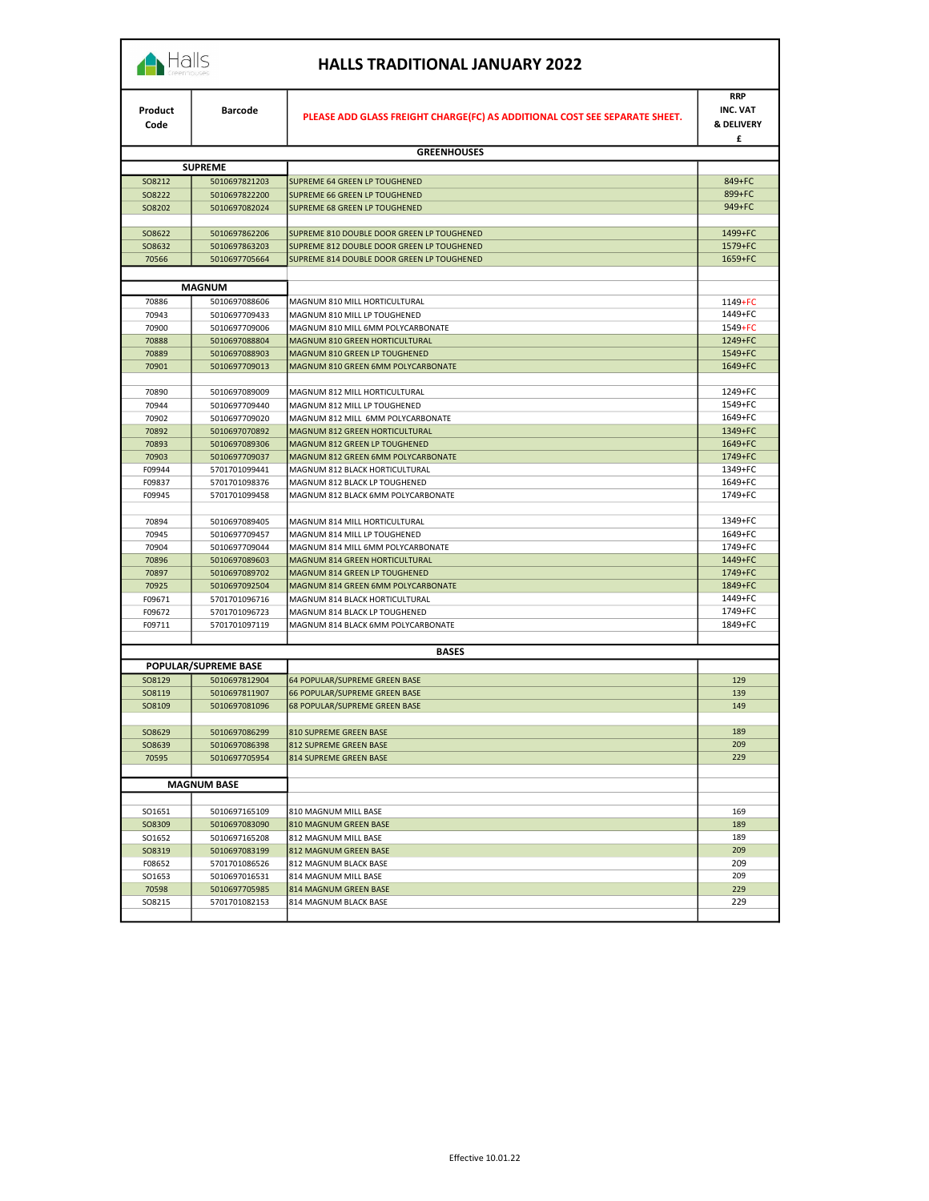|  |  | al | . . |
|--|--|----|-----|
|  |  |    |     |

|  | <b>HALLS TRADITIONAL JANUARY 2022</b> |  |  |
|--|---------------------------------------|--|--|
|--|---------------------------------------|--|--|

| Product<br>Code  | <b>Barcode</b>                 | PLEASE ADD GLASS FREIGHT CHARGE(FC) AS ADDITIONAL COST SEE SEPARATE SHEET. | <b>RRP</b><br><b>INC. VAT</b><br><b>&amp; DELIVERY</b><br>£ |
|------------------|--------------------------------|----------------------------------------------------------------------------|-------------------------------------------------------------|
|                  |                                | <b>GREENHOUSES</b>                                                         |                                                             |
|                  | <b>SUPREME</b>                 |                                                                            |                                                             |
| SO8212           | 5010697821203                  | SUPREME 64 GREEN LP TOUGHENED                                              | 849+FC                                                      |
| SO8222           | 5010697822200                  | SUPREME 66 GREEN LP TOUGHENED                                              | 899+FC                                                      |
| SO8202           | 5010697082024                  | SUPREME 68 GREEN LP TOUGHENED                                              | 949+FC                                                      |
| SO8622           | 5010697862206                  | SUPREME 810 DOUBLE DOOR GREEN LP TOUGHENED                                 | 1499+FC                                                     |
| SO8632           | 5010697863203                  | SUPREME 812 DOUBLE DOOR GREEN LP TOUGHENED                                 | 1579+FC                                                     |
| 70566            | 5010697705664                  | SUPREME 814 DOUBLE DOOR GREEN LP TOUGHENED                                 | 1659+FC                                                     |
|                  | <b>MAGNUM</b>                  |                                                                            |                                                             |
| 70886            | 5010697088606                  | MAGNUM 810 MILL HORTICULTURAL                                              | 1149+FC                                                     |
| 70943            | 5010697709433                  | MAGNUM 810 MILL LP TOUGHENED                                               | 1449+FC                                                     |
| 70900            | 5010697709006                  | MAGNUM 810 MILL 6MM POLYCARBONATE                                          | 1549+FC                                                     |
| 70888            | 5010697088804                  | MAGNUM 810 GREEN HORTICULTURAL                                             | 1249+FC                                                     |
| 70889            | 5010697088903                  | MAGNUM 810 GREEN LP TOUGHENED                                              | 1549+FC                                                     |
| 70901            | 5010697709013                  | MAGNUM 810 GREEN 6MM POLYCARBONATE                                         | 1649+FC                                                     |
| 70890            | 5010697089009                  | MAGNUM 812 MILL HORTICULTURAL                                              | 1249+FC                                                     |
| 70944            | 5010697709440                  | MAGNUM 812 MILL LP TOUGHENED                                               | 1549+FC                                                     |
| 70902            | 5010697709020                  | MAGNUM 812 MILL 6MM POLYCARBONATE                                          | 1649+FC                                                     |
| 70892            | 5010697070892                  | MAGNUM 812 GREEN HORTICULTURAL                                             | 1349+FC                                                     |
| 70893            | 5010697089306                  | MAGNUM 812 GREEN LP TOUGHENED                                              | 1649+FC                                                     |
| 70903            | 5010697709037                  | MAGNUM 812 GREEN 6MM POLYCARBONATE                                         | 1749+FC                                                     |
| F09944<br>F09837 | 5701701099441<br>5701701098376 | MAGNUM 812 BLACK HORTICULTURAL<br>MAGNUM 812 BLACK LP TOUGHENED            | 1349+FC<br>1649+FC                                          |
| F09945           | 5701701099458                  | MAGNUM 812 BLACK 6MM POLYCARBONATE                                         | 1749+FC                                                     |
|                  |                                |                                                                            |                                                             |
| 70894            | 5010697089405                  | MAGNUM 814 MILL HORTICULTURAL                                              | 1349+FC                                                     |
| 70945            | 5010697709457                  | MAGNUM 814 MILL LP TOUGHENED                                               | 1649+FC                                                     |
| 70904            | 5010697709044                  | MAGNUM 814 MILL 6MM POLYCARBONATE                                          | 1749+FC                                                     |
| 70896            | 5010697089603                  | MAGNUM 814 GREEN HORTICULTURAL                                             | 1449+FC                                                     |
| 70897            | 5010697089702                  | MAGNUM 814 GREEN LP TOUGHENED                                              | 1749+FC                                                     |
| 70925            | 5010697092504                  | MAGNUM 814 GREEN 6MM POLYCARBONATE                                         | 1849+FC                                                     |
| F09671           | 5701701096716                  | MAGNUM 814 BLACK HORTICULTURAL                                             | 1449+FC                                                     |
| F09672           | 5701701096723                  | MAGNUM 814 BLACK LP TOUGHENED                                              | 1749+FC<br>1849+FC                                          |
| F09711           | 5701701097119                  | MAGNUM 814 BLACK 6MM POLYCARBONATE                                         |                                                             |
|                  |                                | <b>BASES</b>                                                               |                                                             |
|                  | POPULAR/SUPREME BASE           |                                                                            |                                                             |
| SO8129           | 5010697812904                  | 64 POPULAR/SUPREME GREEN BASE                                              | 129                                                         |
| SO8119           | 5010697811907                  | 66 POPULAR/SUPREME GREEN BASE                                              | 139                                                         |
| SO8109           | 5010697081096                  | 68 POPULAR/SUPREME GREEN BASE                                              | 149                                                         |
|                  | 5010697086299                  |                                                                            | 189                                                         |
| SO8629<br>SO8639 | 5010697086398                  | 810 SUPREME GREEN BASE<br>812 SUPREME GREEN BASE                           | 209                                                         |
| 70595            | 5010697705954                  | 814 SUPREME GREEN BASE                                                     | 229                                                         |
|                  |                                |                                                                            |                                                             |
|                  | <b>MAGNUM BASE</b>             |                                                                            |                                                             |
|                  |                                |                                                                            | 169                                                         |
| SO1651<br>SO8309 | 5010697165109<br>5010697083090 | 810 MAGNUM MILL BASE<br>810 MAGNUM GREEN BASE                              | 189                                                         |
| SO1652           | 5010697165208                  | 812 MAGNUM MILL BASE                                                       | 189                                                         |
| SO8319           | 5010697083199                  | 812 MAGNUM GREEN BASE                                                      | 209                                                         |
| F08652           | 5701701086526                  | 812 MAGNUM BLACK BASE                                                      | 209                                                         |
| SO1653           | 5010697016531                  | 814 MAGNUM MILL BASE                                                       | 209                                                         |
| 70598            | 5010697705985                  | 814 MAGNUM GREEN BASE                                                      | 229                                                         |
| SO8215           | 5701701082153                  | 814 MAGNUM BLACK BASE                                                      | 229                                                         |
|                  |                                |                                                                            |                                                             |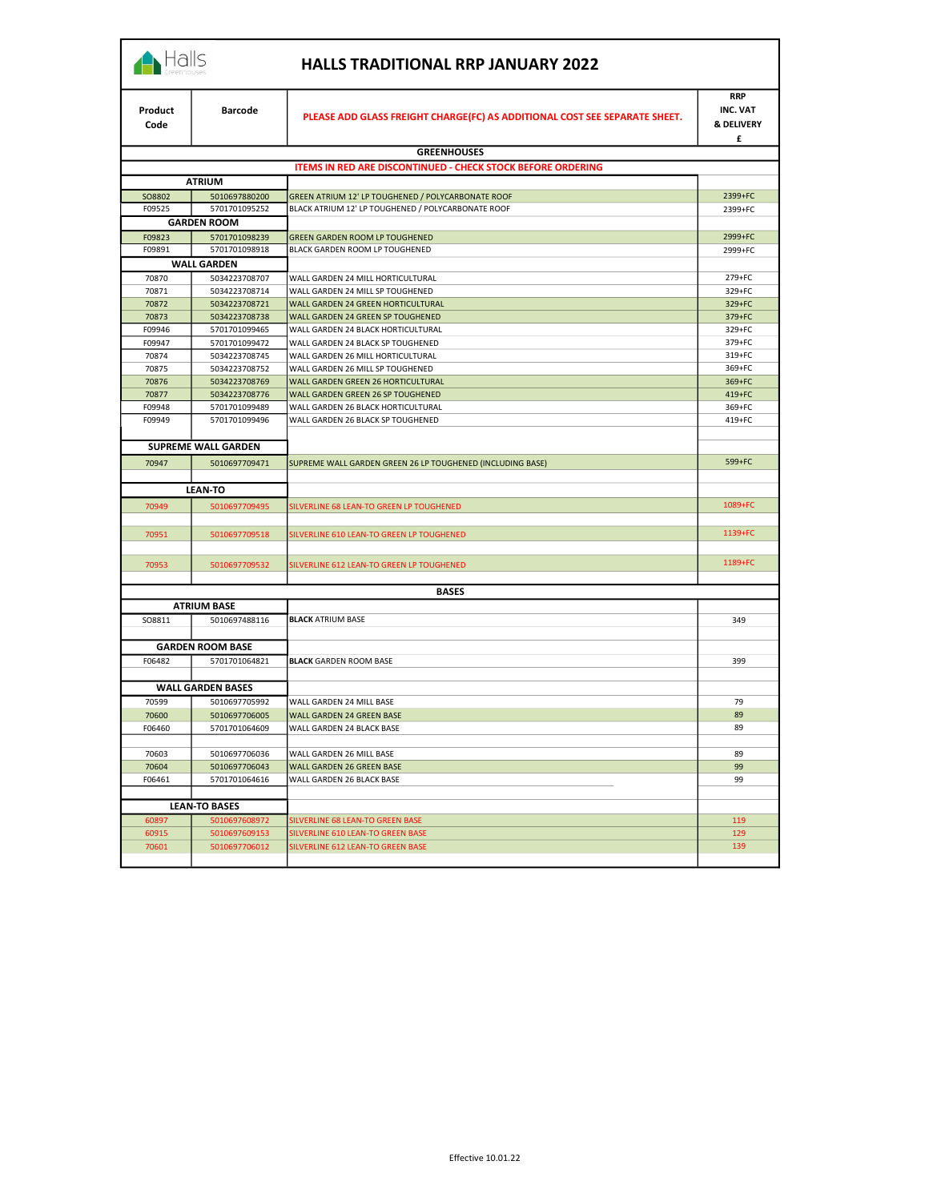| Halls |
|-------|
|       |

## HALLS TRADITIONAL RRP JANUARY 2022

| Product<br>Code | <b>Barcode</b>                 | PLEASE ADD GLASS FREIGHT CHARGE(FC) AS ADDITIONAL COST SEE SEPARATE SHEET.    | <b>RRP</b><br><b>INC. VAT</b><br><b>&amp; DELIVERY</b> |
|-----------------|--------------------------------|-------------------------------------------------------------------------------|--------------------------------------------------------|
|                 |                                |                                                                               | £                                                      |
|                 |                                | <b>GREENHOUSES</b>                                                            |                                                        |
|                 |                                | ITEMS IN RED ARE DISCONTINUED - CHECK STOCK BEFORE ORDERING                   |                                                        |
|                 | <b>ATRIUM</b>                  |                                                                               |                                                        |
| SO8802          | 5010697880200                  | GREEN ATRIUM 12' LP TOUGHENED / POLYCARBONATE ROOF                            | 2399+FC                                                |
| F09525          | 5701701095252                  | BLACK ATRIUM 12' LP TOUGHENED / POLYCARBONATE ROOF                            | 2399+FC                                                |
|                 | <b>GARDEN ROOM</b>             |                                                                               |                                                        |
| F09823          | 5701701098239                  | GREEN GARDEN ROOM LP TOUGHENED                                                | 2999+FC                                                |
| F09891          | 5701701098918                  | BLACK GARDEN ROOM LP TOUGHENED                                                | 2999+FC                                                |
|                 | <b>WALL GARDEN</b>             |                                                                               |                                                        |
| 70870           | 5034223708707                  | WALL GARDEN 24 MILL HORTICULTURAL                                             | 279+FC                                                 |
| 70871<br>70872  | 5034223708714<br>5034223708721 | WALL GARDEN 24 MILL SP TOUGHENED<br>WALL GARDEN 24 GREEN HORTICULTURAL        | 329+FC<br>329+FC                                       |
| 70873           | 5034223708738                  | WALL GARDEN 24 GREEN SP TOUGHENED                                             | 379+FC                                                 |
| F09946          | 5701701099465                  | WALL GARDEN 24 BLACK HORTICULTURAL                                            | 329+FC                                                 |
| F09947          | 5701701099472                  | WALL GARDEN 24 BLACK SP TOUGHENED                                             | 379+FC                                                 |
| 70874           | 5034223708745                  | WALL GARDEN 26 MILL HORTICULTURAL                                             | 319+FC                                                 |
| 70875           | 5034223708752                  | WALL GARDEN 26 MILL SP TOUGHENED                                              | 369+FC                                                 |
| 70876           | 5034223708769                  | WALL GARDEN GREEN 26 HORTICULTURAL                                            | 369+FC                                                 |
| 70877           | 5034223708776                  | WALL GARDEN GREEN 26 SP TOUGHENED                                             | 419+FC                                                 |
| F09948          | 5701701099489                  | WALL GARDEN 26 BLACK HORTICULTURAL                                            | 369+FC                                                 |
| F09949          | 5701701099496                  | WALL GARDEN 26 BLACK SP TOUGHENED                                             | 419+FC                                                 |
|                 | <b>SUPREME WALL GARDEN</b>     |                                                                               |                                                        |
| 70947           | 5010697709471                  | SUPREME WALL GARDEN GREEN 26 LP TOUGHENED (INCLUDING BASE)                    | 599+FC                                                 |
|                 |                                |                                                                               |                                                        |
|                 | <b>LEAN-TO</b>                 |                                                                               |                                                        |
| 70949           | 5010697709495                  | SILVERLINE 68 LEAN-TO GREEN LP TOUGHENED                                      | 1089+FC                                                |
|                 |                                |                                                                               |                                                        |
| 70951           | 5010697709518                  | SILVERLINE 610 LEAN-TO GREEN LP TOUGHENED                                     | 1139+FC                                                |
|                 |                                |                                                                               |                                                        |
| 70953           | 5010697709532                  | SILVERLINE 612 LEAN-TO GREEN LP TOUGHENED                                     | 1189+FC                                                |
|                 |                                |                                                                               |                                                        |
|                 |                                | <b>BASES</b>                                                                  |                                                        |
|                 | <b>ATRIUM BASE</b>             |                                                                               |                                                        |
| SO8811          | 5010697488116                  | <b>BLACK ATRIUM BASE</b>                                                      | 349                                                    |
|                 |                                |                                                                               |                                                        |
|                 | <b>GARDEN ROOM BASE</b>        |                                                                               |                                                        |
| F06482          | 5701701064821                  | <b>BLACK GARDEN ROOM BASE</b>                                                 | 399                                                    |
|                 | <b>WALL GARDEN BASES</b>       |                                                                               |                                                        |
| 70599           | 5010697705992                  | WALL GARDEN 24 MILL BASE                                                      | 79                                                     |
| 70600           | 5010697706005                  | <b>WALL GARDEN 24 GREEN BASE</b>                                              | 89                                                     |
| F06460          | 5701701064609                  | WALL GARDEN 24 BLACK BASE                                                     | 89                                                     |
|                 |                                |                                                                               |                                                        |
| 70603           | 5010697706036                  | WALL GARDEN 26 MILL BASE                                                      | 89                                                     |
| 70604           | 5010697706043                  | WALL GARDEN 26 GREEN BASE                                                     | 99                                                     |
| F06461          | 5701701064616                  | WALL GARDEN 26 BLACK BASE                                                     | 99                                                     |
|                 |                                |                                                                               |                                                        |
|                 | <b>LEAN-TO BASES</b>           |                                                                               |                                                        |
| 60897           | 5010697608972                  | SILVERLINE 68 LEAN-TO GREEN BASE                                              | 119                                                    |
| 60915<br>70601  | 5010697609153<br>5010697706012 | <b>SILVERLINE 610 LEAN-TO GREEN BASE</b><br>SILVERLINE 612 LEAN-TO GREEN BASE | 129<br>139                                             |
|                 |                                |                                                                               |                                                        |